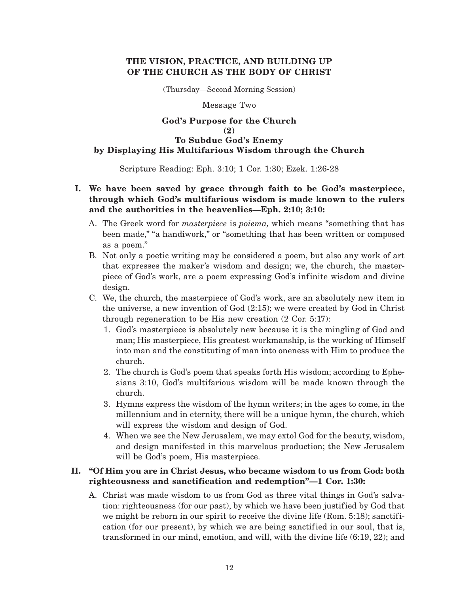## **THE VISION, PRACTICE, AND BUILDING UP OF THE CHURCH AS THE BODY OF CHRIST**

(Thursday—Second Morning Session)

Message Two

### **God's Purpose for the Church (2) To Subdue God's Enemy by Displaying His Multifarious Wisdom through the Church**

Scripture Reading: Eph. 3:10; 1 Cor. 1:30; Ezek. 1:26-28

# **I. We have been saved by grace through faith to be God's masterpiece, through which God's multifarious wisdom is made known to the rulers and the authorities in the heavenlies—Eph. 2:10; 3:10:**

- A. The Greek word for *masterpiece* is *poiema,* which means "something that has been made," "a handiwork," or "something that has been written or composed as a poem."
- B. Not only a poetic writing may be considered a poem, but also any work of art that expresses the maker's wisdom and design; we, the church, the masterpiece of God's work, are a poem expressing God's infinite wisdom and divine design.
- C. We, the church, the masterpiece of God's work, are an absolutely new item in the universe, a new invention of God (2:15); we were created by God in Christ through regeneration to be His new creation (2 Cor. 5:17):
	- 1. God's masterpiece is absolutely new because it is the mingling of God and man; His masterpiece, His greatest workmanship, is the working of Himself into man and the constituting of man into oneness with Him to produce the church.
	- 2. The church is God's poem that speaks forth His wisdom; according to Ephesians 3:10, God's multifarious wisdom will be made known through the church.
	- 3. Hymns express the wisdom of the hymn writers; in the ages to come, in the millennium and in eternity, there will be a unique hymn, the church, which will express the wisdom and design of God.
	- 4. When we see the New Jerusalem, we may extol God for the beauty, wisdom, and design manifested in this marvelous production; the New Jerusalem will be God's poem, His masterpiece.

# **II. "Of Him you are in Christ Jesus, who became wisdom to us from God: both righteousness and sanctification and redemption"—1 Cor. 1:30:**

A. Christ was made wisdom to us from God as three vital things in God's salvation: righteousness (for our past), by which we have been justified by God that we might be reborn in our spirit to receive the divine life (Rom. 5:18); sanctification (for our present), by which we are being sanctified in our soul, that is, transformed in our mind, emotion, and will, with the divine life (6:19, 22); and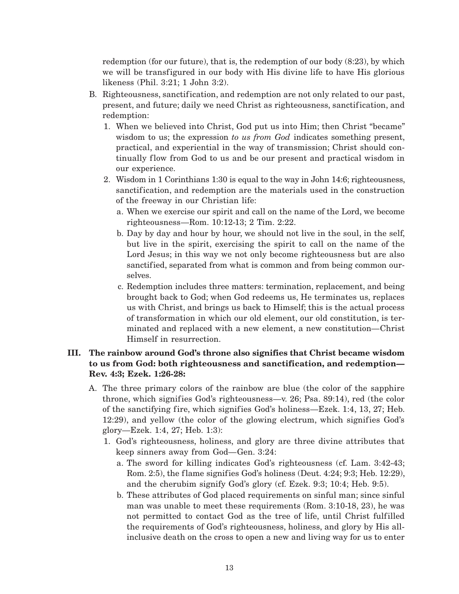redemption (for our future), that is, the redemption of our body (8:23), by which we will be transfigured in our body with His divine life to have His glorious likeness (Phil. 3:21; 1 John 3:2).

- B. Righteousness, sanctification, and redemption are not only related to our past, present, and future; daily we need Christ as righteousness, sanctification, and redemption:
	- 1. When we believed into Christ, God put us into Him; then Christ "became" wisdom to us; the expression *to us from God* indicates something present, practical, and experiential in the way of transmission; Christ should continually flow from God to us and be our present and practical wisdom in our experience.
	- 2. Wisdom in 1 Corinthians 1:30 is equal to the way in John 14:6; righteousness, sanctification, and redemption are the materials used in the construction of the freeway in our Christian life:
		- a. When we exercise our spirit and call on the name of the Lord, we become righteousness—Rom. 10:12-13; 2 Tim. 2:22.
		- b. Day by day and hour by hour, we should not live in the soul, in the self, but live in the spirit, exercising the spirit to call on the name of the Lord Jesus; in this way we not only become righteousness but are also sanctified, separated from what is common and from being common ourselves.
		- c. Redemption includes three matters: termination, replacement, and being brought back to God; when God redeems us, He terminates us, replaces us with Christ, and brings us back to Himself; this is the actual process of transformation in which our old element, our old constitution, is terminated and replaced with a new element, a new constitution—Christ Himself in resurrection.

## **III. The rainbow around God's throne also signifies that Christ became wisdom to us from God: both righteousness and sanctification, and redemption— Rev. 4:3; Ezek. 1:26-28:**

- A. The three primary colors of the rainbow are blue (the color of the sapphire throne, which signifies God's righteousness—v. 26; Psa. 89:14), red (the color of the sanctifying fire, which signifies God's holiness—Ezek. 1:4, 13, 27; Heb. 12:29), and yellow (the color of the glowing electrum, which signifies God's glory—Ezek. 1:4, 27; Heb. 1:3):
	- 1. God's righteousness, holiness, and glory are three divine attributes that keep sinners away from God—Gen. 3:24:
		- a. The sword for killing indicates God's righteousness (cf. Lam. 3:42-43; Rom. 2:5), the flame signifies God's holiness (Deut. 4:24; 9:3; Heb. 12:29), and the cherubim signify God's glory (cf. Ezek. 9:3; 10:4; Heb. 9:5).
		- b. These attributes of God placed requirements on sinful man; since sinful man was unable to meet these requirements (Rom. 3:10-18, 23), he was not permitted to contact God as the tree of life, until Christ fulfilled the requirements of God's righteousness, holiness, and glory by His allinclusive death on the cross to open a new and living way for us to enter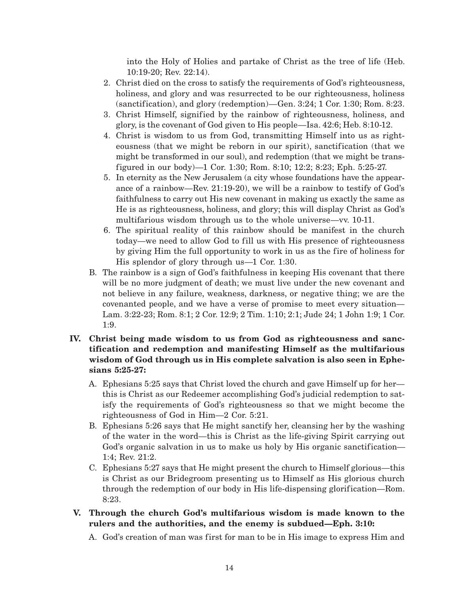into the Holy of Holies and partake of Christ as the tree of life (Heb. 10:19-20; Rev. 22:14).

- 2. Christ died on the cross to satisfy the requirements of God's righteousness, holiness, and glory and was resurrected to be our righteousness, holiness (sanctification), and glory (redemption)—Gen. 3:24; 1 Cor. 1:30; Rom. 8:23.
- 3. Christ Himself, signified by the rainbow of righteousness, holiness, and glory, is the covenant of God given to His people—Isa. 42:6; Heb. 8:10-12.
- 4. Christ is wisdom to us from God, transmitting Himself into us as righteousness (that we might be reborn in our spirit), sanctification (that we might be transformed in our soul), and redemption (that we might be transfigured in our body)—1 Cor. 1:30; Rom. 8:10; 12:2; 8:23; Eph. 5:25-27.
- 5. In eternity as the New Jerusalem (a city whose foundations have the appearance of a rainbow—Rev. 21:19-20), we will be a rainbow to testify of God's faithfulness to carry out His new covenant in making us exactly the same as He is as righteousness, holiness, and glory; this will display Christ as God's multifarious wisdom through us to the whole universe—vv. 10-11.
- 6. The spiritual reality of this rainbow should be manifest in the church today—we need to allow God to fill us with His presence of righteousness by giving Him the full opportunity to work in us as the fire of holiness for His splendor of glory through us—1 Cor. 1:30.
- B. The rainbow is a sign of God's faithfulness in keeping His covenant that there will be no more judgment of death; we must live under the new covenant and not believe in any failure, weakness, darkness, or negative thing; we are the covenanted people, and we have a verse of promise to meet every situation— Lam. 3:22-23; Rom. 8:1; 2 Cor. 12:9; 2 Tim. 1:10; 2:1; Jude 24; 1 John 1:9; 1 Cor. 1:9.
- **IV. Christ being made wisdom to us from God as righteousness and sanctification and redemption and manifesting Himself as the multifarious wisdom of God through us in His complete salvation is also seen in Ephesians 5:25-27:**
	- A. Ephesians 5:25 says that Christ loved the church and gave Himself up for her this is Christ as our Redeemer accomplishing God's judicial redemption to satisfy the requirements of God's righteousness so that we might become the righteousness of God in Him—2 Cor. 5:21.
	- B. Ephesians 5:26 says that He might sanctify her, cleansing her by the washing of the water in the word—this is Christ as the life-giving Spirit carrying out God's organic salvation in us to make us holy by His organic sanctification— 1:4; Rev. 21:2.
	- C. Ephesians 5:27 says that He might present the church to Himself glorious—this is Christ as our Bridegroom presenting us to Himself as His glorious church through the redemption of our body in His life-dispensing glorification—Rom. 8:23.
- **V. Through the church God's multifarious wisdom is made known to the rulers and the authorities, and the enemy is subdued—Eph. 3:10:**
	- A. God's creation of man was first for man to be in His image to express Him and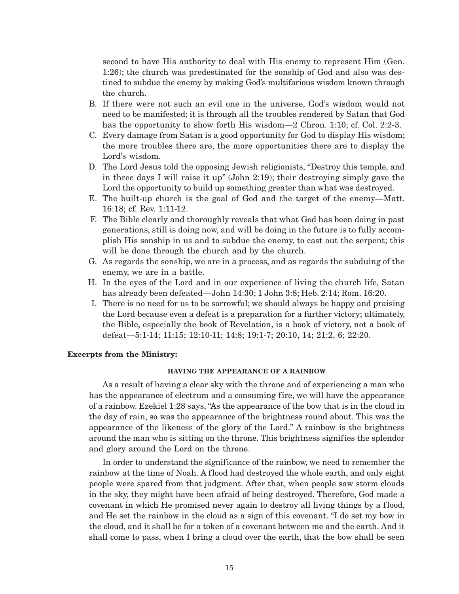second to have His authority to deal with His enemy to represent Him (Gen. 1:26); the church was predestinated for the sonship of God and also was destined to subdue the enemy by making God's multifarious wisdom known through the church.

- B. If there were not such an evil one in the universe, God's wisdom would not need to be manifested; it is through all the troubles rendered by Satan that God has the opportunity to show forth His wisdom—2 Chron. 1:10; cf. Col. 2:2-3.
- C. Every damage from Satan is a good opportunity for God to display His wisdom; the more troubles there are, the more opportunities there are to display the Lord's wisdom.
- D. The Lord Jesus told the opposing Jewish religionists, "Destroy this temple, and in three days I will raise it up" (John 2:19); their destroying simply gave the Lord the opportunity to build up something greater than what was destroyed.
- E. The built-up church is the goal of God and the target of the enemy—Matt. 16:18; cf. Rev. 1:11-12.
- F. The Bible clearly and thoroughly reveals that what God has been doing in past generations, still is doing now, and will be doing in the future is to fully accomplish His sonship in us and to subdue the enemy, to cast out the serpent; this will be done through the church and by the church.
- G. As regards the sonship, we are in a process, and as regards the subduing of the enemy, we are in a battle.
- H. In the eyes of the Lord and in our experience of living the church life, Satan has already been defeated—John 14:30; 1 John 3:8; Heb. 2:14; Rom. 16:20.
- I. There is no need for us to be sorrowful; we should always be happy and praising the Lord because even a defeat is a preparation for a further victory; ultimately, the Bible, especially the book of Revelation, is a book of victory, not a book of defeat—5:1-14; 11:15; 12:10-11; 14:8; 19:1-7; 20:10, 14; 21:2, 6; 22:20.

#### **Excerpts from the Ministry:**

#### **HAVING THE APPEARANCE OF A RAINBOW**

As a result of having a clear sky with the throne and of experiencing a man who has the appearance of electrum and a consuming fire, we will have the appearance of a rainbow. Ezekiel 1:28 says, "As the appearance of the bow that is in the cloud in the day of rain, so was the appearance of the brightness round about. This was the appearance of the likeness of the glory of the Lord." A rainbow is the brightness around the man who is sitting on the throne. This brightness signifies the splendor and glory around the Lord on the throne.

In order to understand the significance of the rainbow, we need to remember the rainbow at the time of Noah. A flood had destroyed the whole earth, and only eight people were spared from that judgment. After that, when people saw storm clouds in the sky, they might have been afraid of being destroyed. Therefore, God made a covenant in which He promised never again to destroy all living things by a flood, and He set the rainbow in the cloud as a sign of this covenant. "I do set my bow in the cloud, and it shall be for a token of a covenant between me and the earth. And it shall come to pass, when I bring a cloud over the earth, that the bow shall be seen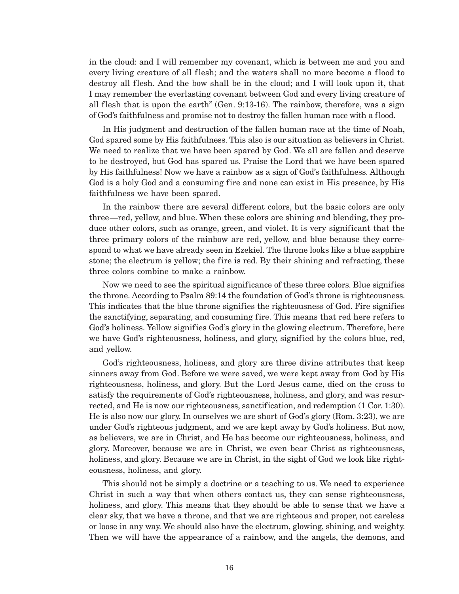in the cloud: and I will remember my covenant, which is between me and you and every living creature of all flesh; and the waters shall no more become a flood to destroy all flesh. And the bow shall be in the cloud; and I will look upon it, that I may remember the everlasting covenant between God and every living creature of all flesh that is upon the earth" (Gen. 9:13-16). The rainbow, therefore, was a sign of God's faithfulness and promise not to destroy the fallen human race with a flood.

In His judgment and destruction of the fallen human race at the time of Noah, God spared some by His faithfulness. This also is our situation as believers in Christ. We need to realize that we have been spared by God. We all are fallen and deserve to be destroyed, but God has spared us. Praise the Lord that we have been spared by His faithfulness! Now we have a rainbow as a sign of God's faithfulness. Although God is a holy God and a consuming fire and none can exist in His presence, by His faithfulness we have been spared.

In the rainbow there are several different colors, but the basic colors are only three—red, yellow, and blue. When these colors are shining and blending, they produce other colors, such as orange, green, and violet. It is very significant that the three primary colors of the rainbow are red, yellow, and blue because they correspond to what we have already seen in Ezekiel. The throne looks like a blue sapphire stone; the electrum is yellow; the fire is red. By their shining and refracting, these three colors combine to make a rainbow.

Now we need to see the spiritual significance of these three colors. Blue signifies the throne. According to Psalm 89:14 the foundation of God's throne is righteousness. This indicates that the blue throne signifies the righteousness of God. Fire signifies the sanctifying, separating, and consuming fire. This means that red here refers to God's holiness. Yellow signifies God's glory in the glowing electrum. Therefore, here we have God's righteousness, holiness, and glory, signified by the colors blue, red, and yellow.

God's righteousness, holiness, and glory are three divine attributes that keep sinners away from God. Before we were saved, we were kept away from God by His righteousness, holiness, and glory. But the Lord Jesus came, died on the cross to satisfy the requirements of God's righteousness, holiness, and glory, and was resurrected, and He is now our righteousness, sanctification, and redemption (1 Cor. 1:30). He is also now our glory. In ourselves we are short of God's glory (Rom. 3:23), we are under God's righteous judgment, and we are kept away by God's holiness. But now, as believers, we are in Christ, and He has become our righteousness, holiness, and glory. Moreover, because we are in Christ, we even bear Christ as righteousness, holiness, and glory. Because we are in Christ, in the sight of God we look like righteousness, holiness, and glory.

This should not be simply a doctrine or a teaching to us. We need to experience Christ in such a way that when others contact us, they can sense righteousness, holiness, and glory. This means that they should be able to sense that we have a clear sky, that we have a throne, and that we are righteous and proper, not careless or loose in any way. We should also have the electrum, glowing, shining, and weighty. Then we will have the appearance of a rainbow, and the angels, the demons, and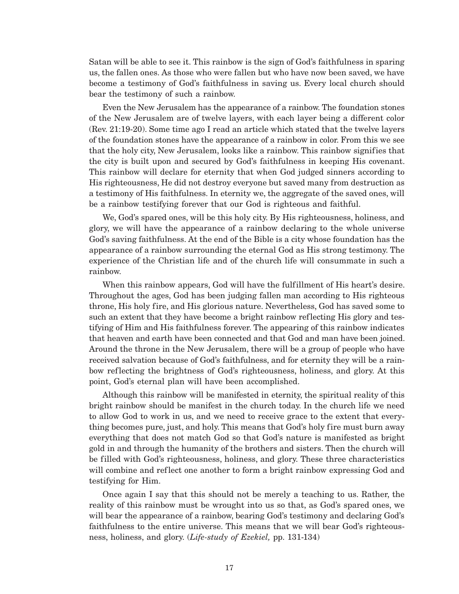Satan will be able to see it. This rainbow is the sign of God's faithfulness in sparing us, the fallen ones. As those who were fallen but who have now been saved, we have become a testimony of God's faithfulness in saving us. Every local church should bear the testimony of such a rainbow.

Even the New Jerusalem has the appearance of a rainbow. The foundation stones of the New Jerusalem are of twelve layers, with each layer being a different color (Rev. 21:19-20). Some time ago I read an article which stated that the twelve layers of the foundation stones have the appearance of a rainbow in color. From this we see that the holy city, New Jerusalem, looks like a rainbow. This rainbow signifies that the city is built upon and secured by God's faithfulness in keeping His covenant. This rainbow will declare for eternity that when God judged sinners according to His righteousness, He did not destroy everyone but saved many from destruction as a testimony of His faithfulness. In eternity we, the aggregate of the saved ones, will be a rainbow testifying forever that our God is righteous and faithful.

We, God's spared ones, will be this holy city. By His righteousness, holiness, and glory, we will have the appearance of a rainbow declaring to the whole universe God's saving faithfulness. At the end of the Bible is a city whose foundation has the appearance of a rainbow surrounding the eternal God as His strong testimony. The experience of the Christian life and of the church life will consummate in such a rainbow.

When this rainbow appears, God will have the fulfillment of His heart's desire. Throughout the ages, God has been judging fallen man according to His righteous throne, His holy fire, and His glorious nature. Nevertheless, God has saved some to such an extent that they have become a bright rainbow reflecting His glory and testifying of Him and His faithfulness forever. The appearing of this rainbow indicates that heaven and earth have been connected and that God and man have been joined. Around the throne in the New Jerusalem, there will be a group of people who have received salvation because of God's faithfulness, and for eternity they will be a rainbow reflecting the brightness of God's righteousness, holiness, and glory. At this point, God's eternal plan will have been accomplished.

Although this rainbow will be manifested in eternity, the spiritual reality of this bright rainbow should be manifest in the church today. In the church life we need to allow God to work in us, and we need to receive grace to the extent that everything becomes pure, just, and holy. This means that God's holy fire must burn away everything that does not match God so that God's nature is manifested as bright gold in and through the humanity of the brothers and sisters. Then the church will be filled with God's righteousness, holiness, and glory. These three characteristics will combine and reflect one another to form a bright rainbow expressing God and testifying for Him.

Once again I say that this should not be merely a teaching to us. Rather, the reality of this rainbow must be wrought into us so that, as God's spared ones, we will bear the appearance of a rainbow, bearing God's testimony and declaring God's faithfulness to the entire universe. This means that we will bear God's righteousness, holiness, and glory. (*Life-study of Ezekiel,* pp. 131-134)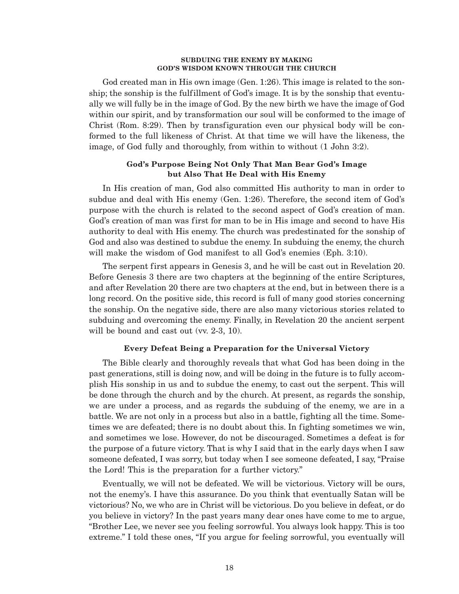#### **SUBDUING THE ENEMY BY MAKING GOD'S WISDOM KNOWN THROUGH THE CHURCH**

God created man in His own image (Gen. 1:26). This image is related to the sonship; the sonship is the fulfillment of God's image. It is by the sonship that eventually we will fully be in the image of God. By the new birth we have the image of God within our spirit, and by transformation our soul will be conformed to the image of Christ (Rom. 8:29). Then by transfiguration even our physical body will be conformed to the full likeness of Christ. At that time we will have the likeness, the image, of God fully and thoroughly, from within to without (1 John 3:2).

### **God's Purpose Being Not Only That Man Bear God's Image but Also That He Deal with His Enemy**

In His creation of man, God also committed His authority to man in order to subdue and deal with His enemy (Gen. 1:26). Therefore, the second item of God's purpose with the church is related to the second aspect of God's creation of man. God's creation of man was first for man to be in His image and second to have His authority to deal with His enemy. The church was predestinated for the sonship of God and also was destined to subdue the enemy. In subduing the enemy, the church will make the wisdom of God manifest to all God's enemies (Eph. 3:10).

The serpent first appears in Genesis 3, and he will be cast out in Revelation 20. Before Genesis 3 there are two chapters at the beginning of the entire Scriptures, and after Revelation 20 there are two chapters at the end, but in between there is a long record. On the positive side, this record is full of many good stories concerning the sonship. On the negative side, there are also many victorious stories related to subduing and overcoming the enemy. Finally, in Revelation 20 the ancient serpent will be bound and cast out (vv. 2-3, 10).

#### **Every Defeat Being a Preparation for the Universal Victory**

The Bible clearly and thoroughly reveals that what God has been doing in the past generations, still is doing now, and will be doing in the future is to fully accomplish His sonship in us and to subdue the enemy, to cast out the serpent. This will be done through the church and by the church. At present, as regards the sonship, we are under a process, and as regards the subduing of the enemy, we are in a battle. We are not only in a process but also in a battle, fighting all the time. Sometimes we are defeated; there is no doubt about this. In fighting sometimes we win, and sometimes we lose. However, do not be discouraged. Sometimes a defeat is for the purpose of a future victory. That is why I said that in the early days when I saw someone defeated, I was sorry, but today when I see someone defeated, I say, "Praise the Lord! This is the preparation for a further victory."

Eventually, we will not be defeated. We will be victorious. Victory will be ours, not the enemy's. I have this assurance. Do you think that eventually Satan will be victorious? No, we who are in Christ will be victorious. Do you believe in defeat, or do you believe in victory? In the past years many dear ones have come to me to argue, "Brother Lee, we never see you feeling sorrowful. You always look happy. This is too extreme." I told these ones, "If you argue for feeling sorrowful, you eventually will